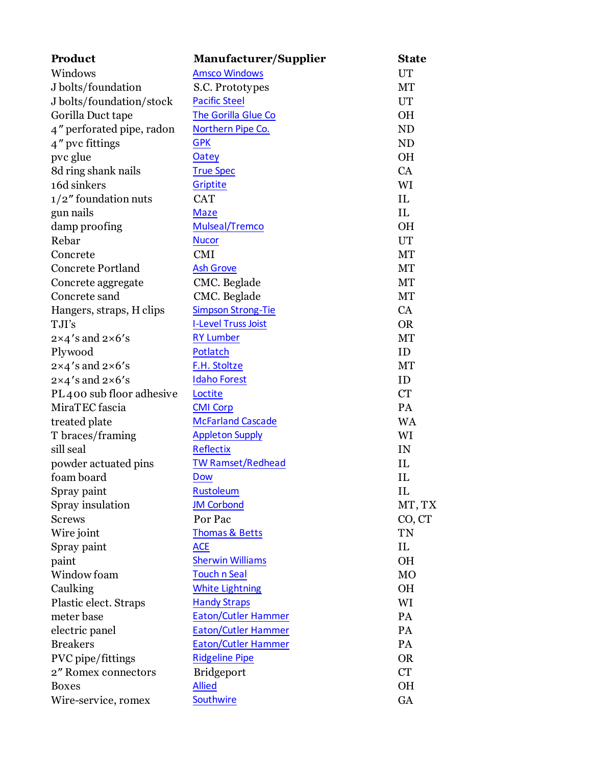| Product                         | Manufacturer/Supplier      | <b>State</b> |
|---------------------------------|----------------------------|--------------|
| Windows                         | <b>Amsco Windows</b>       | <b>UT</b>    |
| J bolts/foundation              | S.C. Prototypes            | MT           |
| J bolts/foundation/stock        | <b>Pacific Steel</b>       | UT           |
| Gorilla Duct tape               | The Gorilla Glue Co        | <b>OH</b>    |
| 4" perforated pipe, radon       | Northern Pipe Co.          | <b>ND</b>    |
| 4" pvc fittings                 | <b>GPK</b>                 | <b>ND</b>    |
| pvc glue                        | <b>Oatey</b>               | <b>OH</b>    |
| 8d ring shank nails             | <b>True Spec</b>           | CA           |
| 16d sinkers                     | Griptite                   | WI           |
| $1/2$ " foundation nuts         | <b>CAT</b>                 | IL           |
| gun nails                       | <b>Maze</b>                | IL           |
| damp proofing                   | Mulseal/Tremco             | <b>OH</b>    |
| Rebar                           | <b>Nucor</b>               | <b>UT</b>    |
| Concrete                        | <b>CMI</b>                 | MT           |
| <b>Concrete Portland</b>        | <b>Ash Grove</b>           | MT           |
| Concrete aggregate              | CMC. Beglade               | MT           |
| Concrete sand                   | CMC. Beglade               | MT           |
| Hangers, straps, H clips        | <b>Simpson Strong-Tie</b>  | CA           |
| TJI's                           | <b>I-Level Truss Joist</b> | <b>OR</b>    |
| $2\times4'$ s and $2\times6'$ s | <b>RY Lumber</b>           | MT           |
| Plywood                         | Potlatch                   | ID           |
| $2\times4'$ s and $2\times6'$ s | F.H. Stoltze               | MT           |
| $2\times4'$ s and $2\times6'$ s | <b>Idaho Forest</b>        | ID           |
| PL400 sub floor adhesive        | Loctite                    | <b>CT</b>    |
| MiraTEC fascia                  | <b>CMI Corp</b>            | PA           |
| treated plate                   | <b>McFarland Cascade</b>   | <b>WA</b>    |
| T braces/framing                | <b>Appleton Supply</b>     | WI           |
| sill seal                       | <b>Reflectix</b>           | IN           |
| powder actuated pins            | <b>TW Ramset/Redhead</b>   | IL           |
| foam board                      | <b>Dow</b>                 | IL           |
| Spray paint                     | Rustoleum                  | IL           |
| Spray insulation                | <b>JM Corbond</b>          | MT, TX       |
| <b>Screws</b>                   | Por Pac                    | CO, CT       |
| Wire joint                      | Thomas & Betts             | TN           |
| Spray paint                     | <b>ACE</b>                 | IL           |
| paint                           | <b>Sherwin Williams</b>    | <b>OH</b>    |
| Window foam                     | <b>Touch n Seal</b>        | <b>MO</b>    |
| Caulking                        | <b>White Lightning</b>     | <b>OH</b>    |
| Plastic elect. Straps           | <b>Handy Straps</b>        | WI           |
| meter base                      | <b>Eaton/Cutler Hammer</b> | PA           |
| electric panel                  | <b>Eaton/Cutler Hammer</b> | PA           |
| <b>Breakers</b>                 | <b>Eaton/Cutler Hammer</b> | PA           |
| PVC pipe/fittings               | <b>Ridgeline Pipe</b>      | <b>OR</b>    |
| 2" Romex connectors             | <b>Bridgeport</b>          | <b>CT</b>    |
| <b>Boxes</b>                    | <b>Allied</b>              | <b>OH</b>    |
| Wire-service, romex             | Southwire                  | GA           |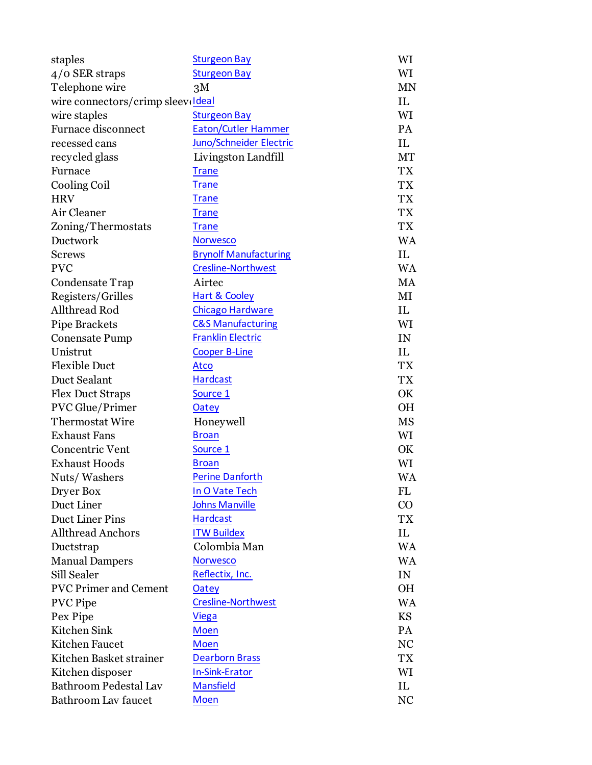| staples                           | <b>Sturgeon Bay</b>          | WI        |
|-----------------------------------|------------------------------|-----------|
| $4/0$ SER straps                  | <b>Sturgeon Bay</b>          | WI        |
| Telephone wire                    | 3M                           | <b>MN</b> |
| wire connectors/crimp sleeveldeal |                              | IL        |
| wire staples                      | <b>Sturgeon Bay</b>          | WI        |
| <b>Furnace disconnect</b>         | <b>Eaton/Cutler Hammer</b>   | PA        |
| recessed cans                     | Juno/Schneider Electric      | IL        |
| recycled glass                    | Livingston Landfill          | MT        |
| Furnace                           | <b>Trane</b>                 | <b>TX</b> |
| Cooling Coil                      | <b>Trane</b>                 | <b>TX</b> |
| <b>HRV</b>                        | <b>Trane</b>                 | <b>TX</b> |
| Air Cleaner                       | <b>Trane</b>                 | <b>TX</b> |
| Zoning/Thermostats                | <u>Trane</u>                 | TX        |
| Ductwork                          | <b>Norwesco</b>              | <b>WA</b> |
| <b>Screws</b>                     | <b>Brynolf Manufacturing</b> | IL        |
| <b>PVC</b>                        | <b>Cresline-Northwest</b>    | <b>WA</b> |
| Condensate Trap                   | Airtec                       | MA        |
| Registers/Grilles                 | <b>Hart &amp; Cooley</b>     | MI        |
| Allthread Rod                     | <b>Chicago Hardware</b>      | IL        |
| Pipe Brackets                     | <b>C&amp;S Manufacturing</b> | WI        |
| <b>Conensate Pump</b>             | <b>Franklin Electric</b>     | IN        |
| Unistrut                          | <b>Cooper B-Line</b>         | IL        |
| <b>Flexible Duct</b>              | <u>Atco</u>                  | <b>TX</b> |
| Duct Sealant                      | <b>Hardcast</b>              | TX        |
| <b>Flex Duct Straps</b>           | Source 1                     | OK        |
| <b>PVC</b> Glue/Primer            | <b>Oatey</b>                 | <b>OH</b> |
| <b>Thermostat Wire</b>            | Honeywell                    | MS        |
| <b>Exhaust Fans</b>               | <b>Broan</b>                 | WI        |
| Concentric Vent                   | Source 1                     | OK        |
| <b>Exhaust Hoods</b>              | <b>Broan</b>                 | WI        |
| Nuts/Washers                      | <b>Perine Danforth</b>       | WA        |
| Dryer Box                         | In O Vate Tech               | <b>FL</b> |
| Duct Liner                        | <b>Johns Manville</b>        | $\rm CO$  |
| Duct Liner Pins                   | <b>Hardcast</b>              | TX        |
| <b>Allthread Anchors</b>          | <b>ITW Buildex</b>           | IL        |
| Ductstrap                         | Colombia Man                 | <b>WA</b> |
| <b>Manual Dampers</b>             | <b>Norwesco</b>              | <b>WA</b> |
| Sill Sealer                       | Reflectix, Inc.              | IN        |
| <b>PVC Primer and Cement</b>      | <b>Oatey</b>                 | OH        |
| <b>PVC</b> Pipe                   | Cresline-Northwest           | <b>WA</b> |
| Pex Pipe                          | <b>Viega</b>                 | <b>KS</b> |
| Kitchen Sink                      | <b>Moen</b>                  | PA        |
| Kitchen Faucet                    | <b>Moen</b>                  | <b>NC</b> |
| Kitchen Basket strainer           | <b>Dearborn Brass</b>        | TX        |
| Kitchen disposer                  | <b>In-Sink-Erator</b>        | WI        |
| <b>Bathroom Pedestal Lav</b>      | <b>Mansfield</b>             | IL        |
| Bathroom Lav faucet               | <b>Moen</b>                  | NC        |